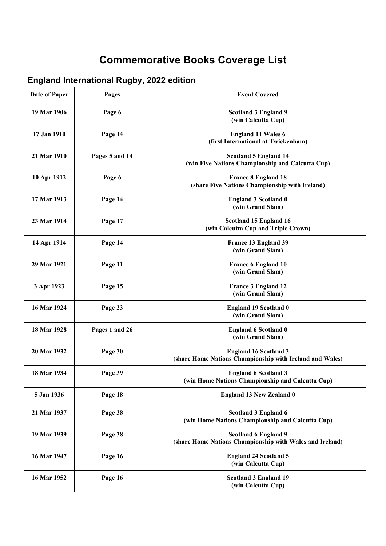## **Commemorative Books Coverage List**

## **England International Rugby, 2022 edition**

| Date of Paper | Pages          | <b>Event Covered</b>                                                                     |
|---------------|----------------|------------------------------------------------------------------------------------------|
| 19 Mar 1906   | Page 6         | <b>Scotland 3 England 9</b><br>(win Calcutta Cup)                                        |
| 17 Jan 1910   | Page 14        | <b>England 11 Wales 6</b><br>(first International at Twickenham)                         |
| 21 Mar 1910   | Pages 5 and 14 | <b>Scotland 5 England 14</b><br>(win Five Nations Championship and Calcutta Cup)         |
| 10 Apr 1912   | Page 6         | <b>France 8 England 18</b><br>(share Five Nations Championship with Ireland)             |
| 17 Mar 1913   | Page 14        | <b>England 3 Scotland 0</b><br>(win Grand Slam)                                          |
| 23 Mar 1914   | Page 17        | Scotland 15 England 16<br>(win Calcutta Cup and Triple Crown)                            |
| 14 Apr 1914   | Page 14        | France 13 England 39<br>(win Grand Slam)                                                 |
| 29 Mar 1921   | Page 11        | <b>France 6 England 10</b><br>(win Grand Slam)                                           |
| 3 Apr 1923    | Page 15        | <b>France 3 England 12</b><br>(win Grand Slam)                                           |
| 16 Mar 1924   | Page 23        | <b>England 19 Scotland 0</b><br>(win Grand Slam)                                         |
| 18 Mar 1928   | Pages 1 and 26 | <b>England 6 Scotland 0</b><br>(win Grand Slam)                                          |
| 20 Mar 1932   | Page 30        | <b>England 16 Scotland 3</b><br>(share Home Nations Championship with Ireland and Wales) |
| 18 Mar 1934   | Page 39        | <b>England 6 Scotland 3</b><br>(win Home Nations Championship and Calcutta Cup)          |
| 5 Jan 1936    | Page 18        | <b>England 13 New Zealand 0</b>                                                          |
| 21 Mar 1937   | Page 38        | Scotland 3 England 6<br>(win Home Nations Championship and Calcutta Cup)                 |
| 19 Mar 1939   | Page 38        | <b>Scotland 6 England 9</b><br>(share Home Nations Championship with Wales and Ireland)  |
| 16 Mar 1947   | Page 16        | <b>England 24 Scotland 5</b><br>(win Calcutta Cup)                                       |
| 16 Mar 1952   | Page 16        | <b>Scotland 3 England 19</b><br>(win Calcutta Cup)                                       |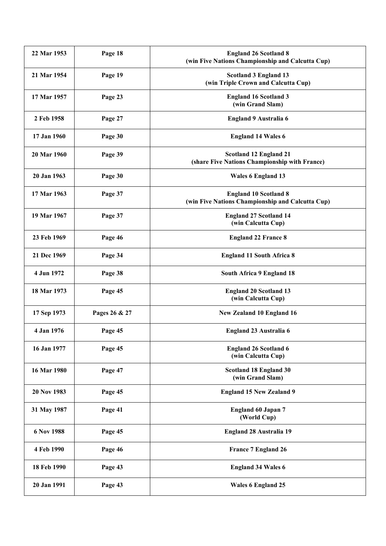| 22 Mar 1953 | Page 18       | <b>England 26 Scotland 8</b><br>(win Five Nations Championship and Calcutta Cup) |
|-------------|---------------|----------------------------------------------------------------------------------|
| 21 Mar 1954 | Page 19       | <b>Scotland 3 England 13</b><br>(win Triple Crown and Calcutta Cup)              |
| 17 Mar 1957 | Page 23       | <b>England 16 Scotland 3</b><br>(win Grand Slam)                                 |
| 2 Feb 1958  | Page 27       | England 9 Australia 6                                                            |
| 17 Jan 1960 | Page 30       | <b>England 14 Wales 6</b>                                                        |
| 20 Mar 1960 | Page 39       | Scotland 12 England 21<br>(share Five Nations Championship with France)          |
| 20 Jan 1963 | Page 30       | <b>Wales 6 England 13</b>                                                        |
| 17 Mar 1963 | Page 37       | <b>England 10 Scotland 8</b><br>(win Five Nations Championship and Calcutta Cup) |
| 19 Mar 1967 | Page 37       | <b>England 27 Scotland 14</b><br>(win Calcutta Cup)                              |
| 23 Feb 1969 | Page 46       | <b>England 22 France 8</b>                                                       |
| 21 Dec 1969 | Page 34       | <b>England 11 South Africa 8</b>                                                 |
| 4 Jun 1972  | Page 38       | South Africa 9 England 18                                                        |
| 18 Mar 1973 | Page 45       | <b>England 20 Scotland 13</b><br>(win Calcutta Cup)                              |
| 17 Sep 1973 | Pages 26 & 27 | New Zealand 10 England 16                                                        |
| 4 Jan 1976  | Page 45       | England 23 Australia 6                                                           |
| 16 Jan 1977 | Page 45       | <b>England 26 Scotland 6</b><br>(win Calcutta Cup)                               |
| 16 Mar 1980 | Page 47       | Scotland 18 England 30<br>(win Grand Slam)                                       |
| 20 Nov 1983 | Page 45       | <b>England 15 New Zealand 9</b>                                                  |
| 31 May 1987 | Page 41       | <b>England 60 Japan 7</b><br>(World Cup)                                         |
| 6 Nov 1988  | Page 45       | <b>England 28 Australia 19</b>                                                   |
| 4 Feb 1990  | Page 46       | <b>France 7 England 26</b>                                                       |
| 18 Feb 1990 | Page 43       | <b>England 34 Wales 6</b>                                                        |
| 20 Jan 1991 | Page 43       | <b>Wales 6 England 25</b>                                                        |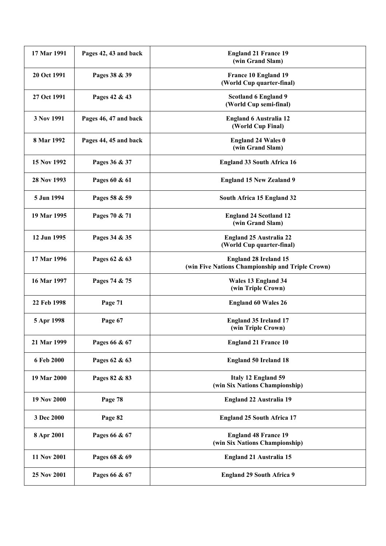| 17 Mar 1991 | Pages 42, 43 and back | <b>England 21 France 19</b><br>(win Grand Slam)                                  |
|-------------|-----------------------|----------------------------------------------------------------------------------|
| 20 Oct 1991 | Pages 38 & 39         | France 10 England 19<br>(World Cup quarter-final)                                |
| 27 Oct 1991 | Pages 42 & 43         | <b>Scotland 6 England 9</b><br>(World Cup semi-final)                            |
| 3 Nov 1991  | Pages 46, 47 and back | <b>England 6 Australia 12</b><br>(World Cup Final)                               |
| 8 Mar 1992  | Pages 44, 45 and back | <b>England 24 Wales 0</b><br>(win Grand Slam)                                    |
| 15 Nov 1992 | Pages 36 & 37         | <b>England 33 South Africa 16</b>                                                |
| 28 Nov 1993 | Pages 60 & 61         | <b>England 15 New Zealand 9</b>                                                  |
| 5 Jun 1994  | Pages 58 & 59         | South Africa 15 England 32                                                       |
| 19 Mar 1995 | Pages 70 & 71         | <b>England 24 Scotland 12</b><br>(win Grand Slam)                                |
| 12 Jun 1995 | Pages 34 & 35         | <b>England 25 Australia 22</b><br>(World Cup quarter-final)                      |
| 17 Mar 1996 | Pages 62 & 63         | <b>England 28 Ireland 15</b><br>(win Five Nations Championship and Triple Crown) |
| 16 Mar 1997 | Pages 74 & 75         | Wales 13 England 34<br>(win Triple Crown)                                        |
| 22 Feb 1998 | Page 71               | <b>England 60 Wales 26</b>                                                       |
| 5 Apr 1998  | Page 67               | <b>England 35 Ireland 17</b><br>(win Triple Crown)                               |
| 21 Mar 1999 | Pages 66 & 67         | <b>England 21 France 10</b>                                                      |
| 6 Feb 2000  | Pages 62 & 63         | <b>England 50 Ireland 18</b>                                                     |
| 19 Mar 2000 | Pages 82 & 83         | Italy 12 England 59<br>(win Six Nations Championship)                            |
| 19 Nov 2000 | Page 78               | <b>England 22 Australia 19</b>                                                   |
| 3 Dec 2000  | Page 82               | <b>England 25 South Africa 17</b>                                                |
| 8 Apr 2001  | Pages 66 & 67         | <b>England 48 France 19</b><br>(win Six Nations Championship)                    |
| 11 Nov 2001 | Pages 68 & 69         | <b>England 21 Australia 15</b>                                                   |
| 25 Nov 2001 | Pages 66 & 67         | <b>England 29 South Africa 9</b>                                                 |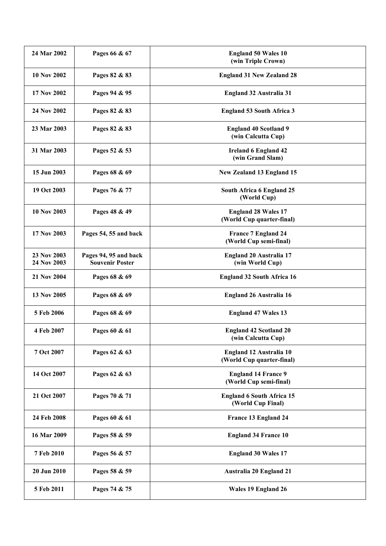| 24 Mar 2002                | Pages 66 & 67                                   | <b>England 50 Wales 10</b><br>(win Triple Crown)        |
|----------------------------|-------------------------------------------------|---------------------------------------------------------|
| <b>10 Nov 2002</b>         | Pages 82 & 83                                   | <b>England 31 New Zealand 28</b>                        |
| 17 Nov 2002                | Pages 94 & 95                                   | <b>England 32 Australia 31</b>                          |
| 24 Nov 2002                | Pages 82 & 83                                   | <b>England 53 South Africa 3</b>                        |
| 23 Mar 2003                | Pages 82 & 83                                   | <b>England 40 Scotland 9</b><br>(win Calcutta Cup)      |
| 31 Mar 2003                | Pages 52 & 53                                   | <b>Ireland 6 England 42</b><br>(win Grand Slam)         |
| 15 Jun 2003                | Pages 68 & 69                                   | New Zealand 13 England 15                               |
| 19 Oct 2003                | Pages 76 & 77                                   | South Africa 6 England 25<br>(World Cup)                |
| 10 Nov 2003                | Pages 48 & 49                                   | <b>England 28 Wales 17</b><br>(World Cup quarter-final) |
| 17 Nov 2003                | Pages 54, 55 and back                           | <b>France 7 England 24</b><br>(World Cup semi-final)    |
| 23 Nov 2003<br>24 Nov 2003 | Pages 94, 95 and back<br><b>Souvenir Poster</b> | <b>England 20 Australia 17</b><br>(win World Cup)       |
| 21 Nov 2004                | Pages 68 & 69                                   | <b>England 32 South Africa 16</b>                       |
| 13 Nov 2005                | Pages 68 & 69                                   | England 26 Australia 16                                 |
| 5 Feb 2006                 | Pages 68 & 69                                   | <b>England 47 Wales 13</b>                              |
| 4 Feb 2007                 | Pages 60 & 61                                   | <b>England 42 Scotland 20</b><br>(win Calcutta Cup)     |
| 7 Oct 2007                 | Pages 62 & 63                                   | England 12 Australia 10<br>(World Cup quarter-final)    |
| 14 Oct 2007                | Pages 62 & 63                                   | <b>England 14 France 9</b><br>(World Cup semi-final)    |
| 21 Oct 2007                | Pages 70 & 71                                   | <b>England 6 South Africa 15</b><br>(World Cup Final)   |
| 24 Feb 2008                | Pages 60 & 61                                   | France 13 England 24                                    |
| 16 Mar 2009                | Pages 58 & 59                                   | <b>England 34 France 10</b>                             |
| 7 Feb 2010                 | Pages 56 & 57                                   | <b>England 30 Wales 17</b>                              |
| 20 Jun 2010                | Pages 58 & 59                                   | <b>Australia 20 England 21</b>                          |
| 5 Feb 2011                 | Pages 74 & 75                                   | Wales 19 England 26                                     |